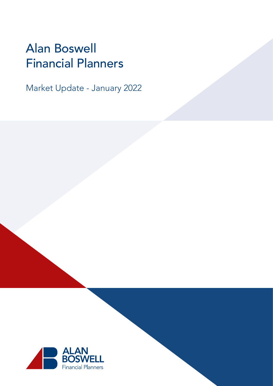# Alan Boswell Financial Planners

Market Update - January 2022

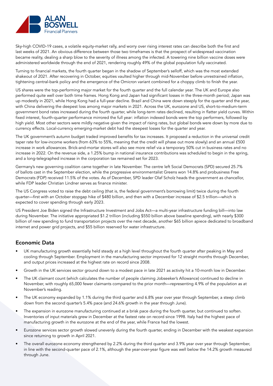

Sky-high COVID-19 cases, a volatile equity-market rally, and worry over rising interest rates can describe both the first and last weeks of 2021. An obvious difference between those two timeframes is that the prospect of widespread vaccination became reality, dealing a sharp blow to the severity of illness among the infected. A towering nine billion vaccine doses were administered worldwide through the end of 2021, rendering roughly 49% of the global population fully vaccinated.

Turning to financial markets, the fourth quarter began in the shadow of September's selloff, which was the most extended shakeout of 2021. After recovering in October, equities vaulted higher through mid-November before unrestrained inflation, tightening central-bank policy and the emergence of the Omicron variant combined for a choppy climb to finish the year.

US shares were the top-performing major market for the fourth quarter and the full calendar year. The UK and Europe also performed quite well over both time frames. Hong Kong and Japan had significant losses in the three-month period; Japan was up modestly in 2021, while Hong Kong had a full-year decline. Brazil and China were down steeply for the quarter and the year, with China delivering the deepest loss among major markets in 2021. Across the UK, eurozone and US, short-to-medium-term government bond rates increased during the fourth quarter, while long-term rates declined, resulting in flatter yield curves. Within fixed interest, fourth-quarter performance mirrored the full year: inflation indexed bonds were the top performers, followed by high yield. Most other sectors were mildly negative given the impact of rising rates, but global bonds were down by more due to currency effects. Local-currency emerging-market debt had the steepest losses for the quarter and year.

The UK government's autumn budget traded improved benefits for tax increases. It proposed a reduction in the universal credit taper rate for low-income workers (from 63% to 55%, meaning that the credit will phase out more slowly) and an annual £500 increase in work allowances. Brick-and-mortar stores will also see more relief via a temporary 50% cut in business rates and no increase in 2022. On the revenue side, a 1.25% bump in national insurance contributions was scheduled to begin in the spring, and a long-telegraphed increase in the corporation tax remained set for 2023.

Germany's new governing coalition came together in late November. The centre left Social Democrats (SPD) secured 25.7% of ballots cast in the September election, while the progressive environmentalist Greens won 14.8% and probusiness Free Democrats (FDP) received 11.5% of the votes. As of December, SPD leader Olaf Scholz heads the government as chancellor, while FDP leader Christian Lindner serves as finance minister.

The US Congress voted to raise the debt ceiling (that is, the federal government's borrowing limit) twice during the fourth quarter—first with an October stopgap hike of \$480 billion, and then with a December increase of \$2.5 trillion—which is expected to cover spending through early 2023.

US President Joe Biden signed the Infrastructure Investment and Jobs Act—a multi-year infrastructure funding bill—into law during November. The initiative appropriated \$1.2 trillion (including \$550 billion above baseline spending), with nearly \$300 billion of new spending to fund transportation projects over the next decade, another \$65 billion apiece dedicated to broadband internet and power grid projects, and \$55 billion reserved for water infrastructure.

## Economic Data

- UK manufacturing growth essentially held steady at a high level throughout the fourth quarter after peaking in May and cooling through September. Employment in the manufacturing sector improved for 12 straight months through December, and output prices increased at the highest rate on record since 2008.
- Growth in the UK services sector ground down to a modest pace in late 2021 as activity hit a 10-month low in December.
- The UK claimant count (which calculates the number of people claiming Jobseeker's Allowance) continued to decline in November, with roughly 65,000 fewer claimants compared to the prior month—representing 4.9% of the population as at November's reading.
- The UK economy expanded by 1.1% during the third quarter and 6.8% year over year through September, a steep climb down from the second quarter's 5.4% pace (and 24.6% growth in the year through June).
- The expansion in eurozone manufacturing continued at a brisk pace during the fourth quarter, but continued to soften. Inventories of input materials grew in December at the fastest rate on record since 1998. Italy had the highest pace of manufacturing growth in the eurozone at the end of the year, while France had the lowest.
- Eurozone services sector growth slowed unevenly during the fourth quarter, ending in December with the weakest expansion since returning to growth in April 2021.
- The overall eurozone economy strengthened by 2.2% during the third quarter and 3.9% year over year through September, in line with the second-quarter pace of 2.1%, although the year-over-year figure was well below the 14.2% growth measured through June.